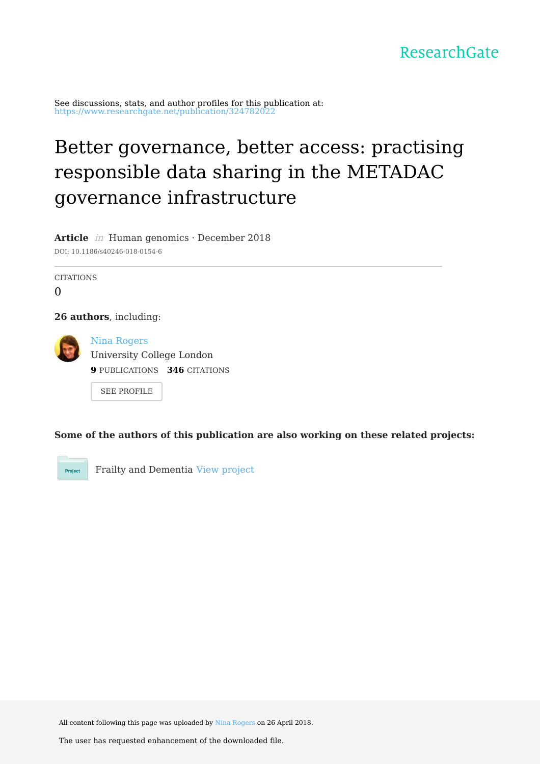See discussions, stats, and author profiles for this publication at: https://www.researchgate.net/publication/3247820

# Better governance, better access: practising responsible data sharing in the METADAC governance [infrastructure](https://www.researchgate.net/publication/324782022_Better_governance_better_access_practising_responsible_data_sharing_in_the_METADAC_governance_infrastructure?enrichId=rgreq-4b1dfca913b4d371c8235ac998d18a19-XXX&enrichSource=Y292ZXJQYWdlOzMyNDc4MjAyMjtBUzo2MTk4MTI5NDIyNjYzNjhAMTUyNDc4NjMyOTAwNA%3D%3D&el=1_x_3&_esc=publicationCoverPdf)

**Article** in Human genomics · December 2018 DOI: 10.1186/s40246-018-0154-6

**CITATIONS** 0

**26 authors**, including:

Nina [Rogers](https://www.researchgate.net/profile/Nina_Rogers?enrichId=rgreq-4b1dfca913b4d371c8235ac998d18a19-XXX&enrichSource=Y292ZXJQYWdlOzMyNDc4MjAyMjtBUzo2MTk4MTI5NDIyNjYzNjhAMTUyNDc4NjMyOTAwNA%3D%3D&el=1_x_5&_esc=publicationCoverPdf) [University](https://www.researchgate.net/institution/University_College_London?enrichId=rgreq-4b1dfca913b4d371c8235ac998d18a19-XXX&enrichSource=Y292ZXJQYWdlOzMyNDc4MjAyMjtBUzo2MTk4MTI5NDIyNjYzNjhAMTUyNDc4NjMyOTAwNA%3D%3D&el=1_x_6&_esc=publicationCoverPdf) College London **9** PUBLICATIONS **346** CITATIONS

SEE [PROFILE](https://www.researchgate.net/profile/Nina_Rogers?enrichId=rgreq-4b1dfca913b4d371c8235ac998d18a19-XXX&enrichSource=Y292ZXJQYWdlOzMyNDc4MjAyMjtBUzo2MTk4MTI5NDIyNjYzNjhAMTUyNDc4NjMyOTAwNA%3D%3D&el=1_x_7&_esc=publicationCoverPdf)

**Some of the authors of this publication are also working on these related projects:**

Project

Frailty and Dementia View [project](https://www.researchgate.net/project/Frailty-and-Dementia?enrichId=rgreq-4b1dfca913b4d371c8235ac998d18a19-XXX&enrichSource=Y292ZXJQYWdlOzMyNDc4MjAyMjtBUzo2MTk4MTI5NDIyNjYzNjhAMTUyNDc4NjMyOTAwNA%3D%3D&el=1_x_9&_esc=publicationCoverPdf)

All content following this page was uploaded by Nina [Rogers](https://www.researchgate.net/profile/Nina_Rogers?enrichId=rgreq-4b1dfca913b4d371c8235ac998d18a19-XXX&enrichSource=Y292ZXJQYWdlOzMyNDc4MjAyMjtBUzo2MTk4MTI5NDIyNjYzNjhAMTUyNDc4NjMyOTAwNA%3D%3D&el=1_x_10&_esc=publicationCoverPdf) on 26 April 2018.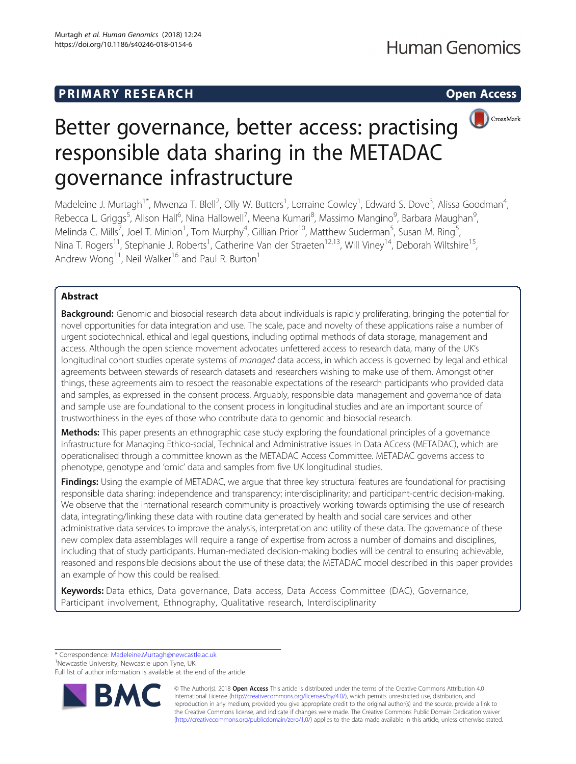# PRIMARY RESEARCH **CONSERVING ACCESS**



# Better governance, better access: practising responsible data sharing in the METADAC governance infrastructure

Madeleine J. Murtagh<sup>1\*</sup>, Mwenza T. Blell<sup>2</sup>, Olly W. Butters<sup>1</sup>, Lorraine Cowley<sup>1</sup>, Edward S. Dove<sup>3</sup>, Alissa Goodman<sup>4</sup> , Rebecca L. Griggs<sup>5</sup>, Alison Hall<sup>6</sup>, Nina Hallowell<sup>7</sup>, Meena Kumari<sup>8</sup>, Massimo Mangino<sup>9</sup>, Barbara Maughan<sup>9</sup> , Melinda C. Mills<sup>7</sup>, Joel T. Minion<sup>1</sup>, Tom Murphy<sup>4</sup>, Gillian Prior<sup>10</sup>, Matthew Suderman<sup>5</sup>, Susan M. Ring<sup>5</sup> , Nina T. Rogers<sup>11</sup>, Stephanie J. Roberts<sup>1</sup>, Catherine Van der Straeten<sup>12,13</sup>, Will Viney<sup>14</sup>, Deborah Wiltshire<sup>15</sup>, Andrew Wong<sup>11</sup>, Neil Walker<sup>16</sup> and Paul R. Burton<sup>1</sup>

# Abstract

Background: Genomic and biosocial research data about individuals is rapidly proliferating, bringing the potential for novel opportunities for data integration and use. The scale, pace and novelty of these applications raise a number of urgent sociotechnical, ethical and legal questions, including optimal methods of data storage, management and access. Although the open science movement advocates unfettered access to research data, many of the UK's longitudinal cohort studies operate systems of managed data access, in which access is governed by legal and ethical agreements between stewards of research datasets and researchers wishing to make use of them. Amongst other things, these agreements aim to respect the reasonable expectations of the research participants who provided data and samples, as expressed in the consent process. Arguably, responsible data management and governance of data and sample use are foundational to the consent process in longitudinal studies and are an important source of trustworthiness in the eyes of those who contribute data to genomic and biosocial research.

Methods: This paper presents an ethnographic case study exploring the foundational principles of a governance infrastructure for Managing Ethico-social, Technical and Administrative issues in Data ACcess (METADAC), which are operationalised through a committee known as the METADAC Access Committee. METADAC governs access to phenotype, genotype and 'omic' data and samples from five UK longitudinal studies.

Findings: Using the example of METADAC, we argue that three key structural features are foundational for practising responsible data sharing: independence and transparency; interdisciplinarity; and participant-centric decision-making. We observe that the international research community is proactively working towards optimising the use of research data, integrating/linking these data with routine data generated by health and social care services and other administrative data services to improve the analysis, interpretation and utility of these data. The governance of these new complex data assemblages will require a range of expertise from across a number of domains and disciplines, including that of study participants. Human-mediated decision-making bodies will be central to ensuring achievable, reasoned and responsible decisions about the use of these data; the METADAC model described in this paper provides an example of how this could be realised.

Keywords: Data ethics, Data governance, Data access, Data Access Committee (DAC), Governance, Participant involvement, Ethnography, Qualitative research, Interdisciplinarity

\* Correspondence: [Madeleine.Murtagh@newcastle.ac.uk](mailto:Madeleine.Murtagh@newcastle.ac.uk) <sup>1</sup>

Newcastle University, Newcastle upon Tyne, UK

Full list of author information is available at the end of the article



© The Author(s). 2018 Open Access This article is distributed under the terms of the Creative Commons Attribution 4.0 International License [\(http://creativecommons.org/licenses/by/4.0/](http://creativecommons.org/licenses/by/4.0/)), which permits unrestricted use, distribution, and reproduction in any medium, provided you give appropriate credit to the original author(s) and the source, provide a link to the Creative Commons license, and indicate if changes were made. The Creative Commons Public Domain Dedication waiver [\(http://creativecommons.org/publicdomain/zero/1.0/](http://creativecommons.org/publicdomain/zero/1.0/)) applies to the data made available in this article, unless otherwise stated.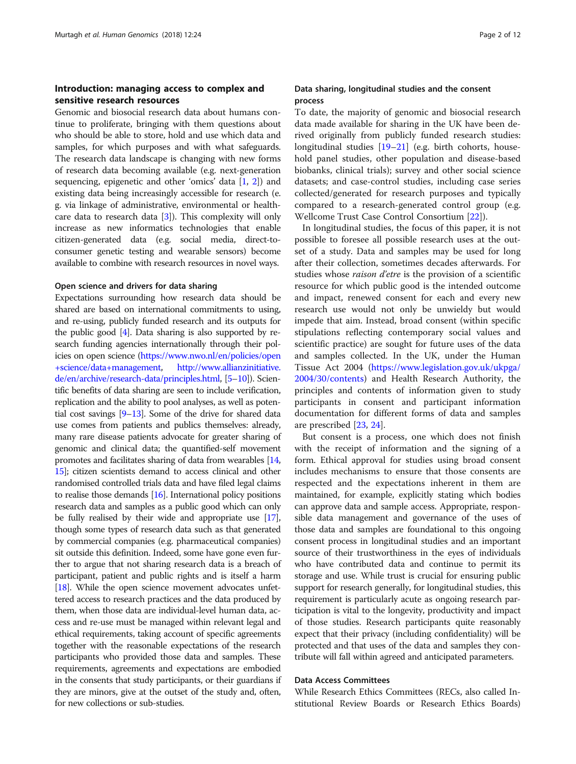# Introduction: managing access to complex and sensitive research resources

Genomic and biosocial research data about humans continue to proliferate, bringing with them questions about who should be able to store, hold and use which data and samples, for which purposes and with what safeguards. The research data landscape is changing with new forms of research data becoming available (e.g. next-generation sequencing, epigenetic and other 'omics' data [\[1](#page-11-0), [2\]](#page-11-0)) and existing data being increasingly accessible for research (e. g. via linkage of administrative, environmental or healthcare data to research data [[3\]](#page-11-0)). This complexity will only increase as new informatics technologies that enable citizen-generated data (e.g. social media, direct-toconsumer genetic testing and wearable sensors) become available to combine with research resources in novel ways.

### Open science and drivers for data sharing

Expectations surrounding how research data should be shared are based on international commitments to using, and re-using, publicly funded research and its outputs for the public good [[4](#page-11-0)]. Data sharing is also supported by research funding agencies internationally through their policies on open science [\(https://www.nwo.nl/en/policies/open](https://www.nwo.nl/en/policies/open+science/data+management) [+science/data+management](https://www.nwo.nl/en/policies/open+science/data+management), [http://www.allianzinitiative.](http://www.allianzinitiative.de/en/archive/research-data/principles.html) [de/en/archive/research-data/principles.html](http://www.allianzinitiative.de/en/archive/research-data/principles.html), [\[5](#page-11-0)–[10](#page-11-0)]). Scientific benefits of data sharing are seen to include verification, replication and the ability to pool analyses, as well as potential cost savings [\[9](#page-11-0)–[13\]](#page-11-0). Some of the drive for shared data use comes from patients and publics themselves: already, many rare disease patients advocate for greater sharing of genomic and clinical data; the quantified-self movement promotes and facilitates sharing of data from wearables [\[14](#page-11-0), [15](#page-11-0)]; citizen scientists demand to access clinical and other randomised controlled trials data and have filed legal claims to realise those demands [\[16\]](#page-11-0). International policy positions research data and samples as a public good which can only be fully realised by their wide and appropriate use [\[17](#page-11-0)], though some types of research data such as that generated by commercial companies (e.g. pharmaceutical companies) sit outside this definition. Indeed, some have gone even further to argue that not sharing research data is a breach of participant, patient and public rights and is itself a harm [[18](#page-11-0)]. While the open science movement advocates unfettered access to research practices and the data produced by them, when those data are individual-level human data, access and re-use must be managed within relevant legal and ethical requirements, taking account of specific agreements together with the reasonable expectations of the research participants who provided those data and samples. These requirements, agreements and expectations are embodied in the consents that study participants, or their guardians if they are minors, give at the outset of the study and, often, for new collections or sub-studies.

# Data sharing, longitudinal studies and the consent process

To date, the majority of genomic and biosocial research data made available for sharing in the UK have been derived originally from publicly funded research studies: longitudinal studies [\[19](#page-11-0)–[21\]](#page-11-0) (e.g. birth cohorts, household panel studies, other population and disease-based biobanks, clinical trials); survey and other social science datasets; and case-control studies, including case series collected/generated for research purposes and typically compared to a research-generated control group (e.g. Wellcome Trust Case Control Consortium [\[22\]](#page-11-0)).

In longitudinal studies, the focus of this paper, it is not possible to foresee all possible research uses at the outset of a study. Data and samples may be used for long after their collection, sometimes decades afterwards. For studies whose *raison d'etre* is the provision of a scientific resource for which public good is the intended outcome and impact, renewed consent for each and every new research use would not only be unwieldy but would impede that aim. Instead, broad consent (within specific stipulations reflecting contemporary social values and scientific practice) are sought for future uses of the data and samples collected. In the UK, under the Human Tissue Act 2004 [\(https://www.legislation.gov.uk/ukpga/](https://www.legislation.gov.uk/ukpga/2004/30/contents) [2004/30/contents](https://www.legislation.gov.uk/ukpga/2004/30/contents)) and Health Research Authority, the principles and contents of information given to study participants in consent and participant information documentation for different forms of data and samples are prescribed [[23](#page-11-0), [24](#page-11-0)].

But consent is a process, one which does not finish with the receipt of information and the signing of a form. Ethical approval for studies using broad consent includes mechanisms to ensure that those consents are respected and the expectations inherent in them are maintained, for example, explicitly stating which bodies can approve data and sample access. Appropriate, responsible data management and governance of the uses of those data and samples are foundational to this ongoing consent process in longitudinal studies and an important source of their trustworthiness in the eyes of individuals who have contributed data and continue to permit its storage and use. While trust is crucial for ensuring public support for research generally, for longitudinal studies, this requirement is particularly acute as ongoing research participation is vital to the longevity, productivity and impact of those studies. Research participants quite reasonably expect that their privacy (including confidentiality) will be protected and that uses of the data and samples they contribute will fall within agreed and anticipated parameters.

# Data Access Committees

While Research Ethics Committees (RECs, also called Institutional Review Boards or Research Ethics Boards)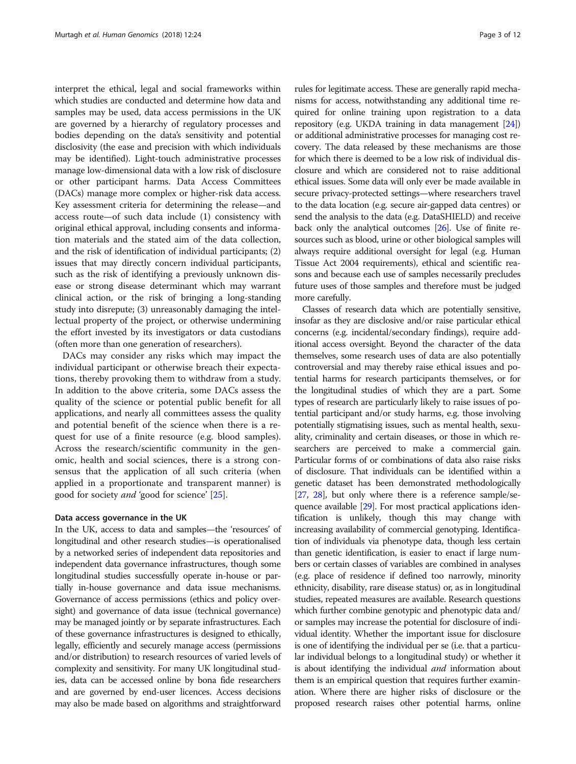interpret the ethical, legal and social frameworks within which studies are conducted and determine how data and samples may be used, data access permissions in the UK are governed by a hierarchy of regulatory processes and bodies depending on the data's sensitivity and potential disclosivity (the ease and precision with which individuals may be identified). Light-touch administrative processes manage low-dimensional data with a low risk of disclosure or other participant harms. Data Access Committees (DACs) manage more complex or higher-risk data access. Key assessment criteria for determining the release—and access route—of such data include (1) consistency with original ethical approval, including consents and information materials and the stated aim of the data collection, and the risk of identification of individual participants; (2) issues that may directly concern individual participants, such as the risk of identifying a previously unknown disease or strong disease determinant which may warrant clinical action, or the risk of bringing a long-standing study into disrepute; (3) unreasonably damaging the intellectual property of the project, or otherwise undermining the effort invested by its investigators or data custodians (often more than one generation of researchers).

DACs may consider any risks which may impact the individual participant or otherwise breach their expectations, thereby provoking them to withdraw from a study. In addition to the above criteria, some DACs assess the quality of the science or potential public benefit for all applications, and nearly all committees assess the quality and potential benefit of the science when there is a request for use of a finite resource (e.g. blood samples). Across the research/scientific community in the genomic, health and social sciences, there is a strong consensus that the application of all such criteria (when applied in a proportionate and transparent manner) is good for society and 'good for science' [\[25](#page-11-0)].

### Data access governance in the UK

In the UK, access to data and samples—the 'resources' of longitudinal and other research studies—is operationalised by a networked series of independent data repositories and independent data governance infrastructures, though some longitudinal studies successfully operate in-house or partially in-house governance and data issue mechanisms. Governance of access permissions (ethics and policy oversight) and governance of data issue (technical governance) may be managed jointly or by separate infrastructures. Each of these governance infrastructures is designed to ethically, legally, efficiently and securely manage access (permissions and/or distribution) to research resources of varied levels of complexity and sensitivity. For many UK longitudinal studies, data can be accessed online by bona fide researchers and are governed by end-user licences. Access decisions may also be made based on algorithms and straightforward

rules for legitimate access. These are generally rapid mechanisms for access, notwithstanding any additional time required for online training upon registration to a data repository (e.g. UKDA training in data management  $[24]$  $[24]$ ) or additional administrative processes for managing cost recovery. The data released by these mechanisms are those for which there is deemed to be a low risk of individual disclosure and which are considered not to raise additional ethical issues. Some data will only ever be made available in secure privacy-protected settings—where researchers travel to the data location (e.g. secure air-gapped data centres) or send the analysis to the data (e.g. DataSHIELD) and receive back only the analytical outcomes [\[26\]](#page-11-0). Use of finite resources such as blood, urine or other biological samples will always require additional oversight for legal (e.g. Human Tissue Act 2004 requirements), ethical and scientific reasons and because each use of samples necessarily precludes future uses of those samples and therefore must be judged more carefully.

Classes of research data which are potentially sensitive, insofar as they are disclosive and/or raise particular ethical concerns (e.g. incidental/secondary findings), require additional access oversight. Beyond the character of the data themselves, some research uses of data are also potentially controversial and may thereby raise ethical issues and potential harms for research participants themselves, or for the longitudinal studies of which they are a part. Some types of research are particularly likely to raise issues of potential participant and/or study harms, e.g. those involving potentially stigmatising issues, such as mental health, sexuality, criminality and certain diseases, or those in which researchers are perceived to make a commercial gain. Particular forms of or combinations of data also raise risks of disclosure. That individuals can be identified within a genetic dataset has been demonstrated methodologically [[27](#page-11-0), [28](#page-11-0)], but only where there is a reference sample/sequence available [\[29\]](#page-11-0). For most practical applications identification is unlikely, though this may change with increasing availability of commercial genotyping. Identification of individuals via phenotype data, though less certain than genetic identification, is easier to enact if large numbers or certain classes of variables are combined in analyses (e.g. place of residence if defined too narrowly, minority ethnicity, disability, rare disease status) or, as in longitudinal studies, repeated measures are available. Research questions which further combine genotypic and phenotypic data and/ or samples may increase the potential for disclosure of individual identity. Whether the important issue for disclosure is one of identifying the individual per se (i.e. that a particular individual belongs to a longitudinal study) or whether it is about identifying the individual *and* information about them is an empirical question that requires further examination. Where there are higher risks of disclosure or the proposed research raises other potential harms, online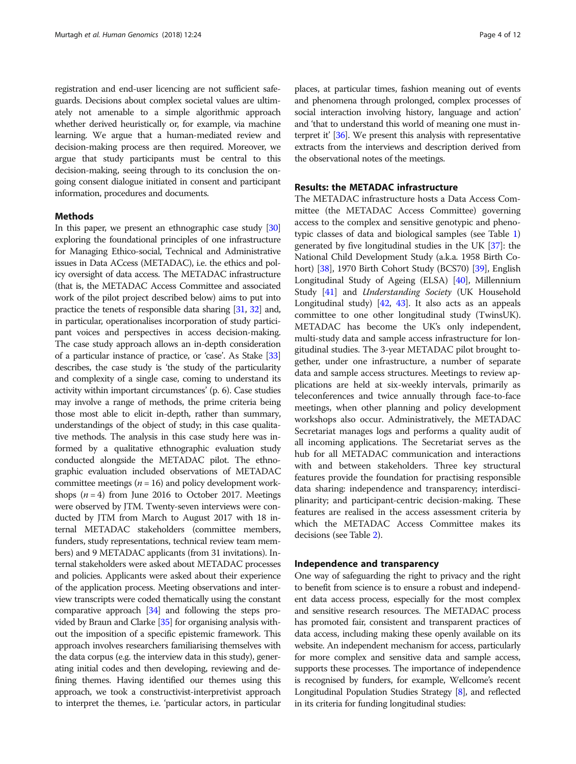registration and end-user licencing are not sufficient safeguards. Decisions about complex societal values are ultimately not amenable to a simple algorithmic approach whether derived heuristically or, for example, via machine learning. We argue that a human-mediated review and decision-making process are then required. Moreover, we argue that study participants must be central to this decision-making, seeing through to its conclusion the ongoing consent dialogue initiated in consent and participant information, procedures and documents.

# Methods

In this paper, we present an ethnographic case study [\[30](#page-11-0)] exploring the foundational principles of one infrastructure for Managing Ethico-social, Technical and Administrative issues in Data ACcess (METADAC), i.e. the ethics and policy oversight of data access. The METADAC infrastructure (that is, the METADAC Access Committee and associated work of the pilot project described below) aims to put into practice the tenets of responsible data sharing [\[31](#page-11-0), [32\]](#page-11-0) and, in particular, operationalises incorporation of study participant voices and perspectives in access decision-making. The case study approach allows an in-depth consideration of a particular instance of practice, or 'case'. As Stake [\[33](#page-11-0)] describes, the case study is 'the study of the particularity and complexity of a single case, coming to understand its activity within important circumstances' (p. 6). Case studies may involve a range of methods, the prime criteria being those most able to elicit in-depth, rather than summary, understandings of the object of study; in this case qualitative methods. The analysis in this case study here was informed by a qualitative ethnographic evaluation study conducted alongside the METADAC pilot. The ethnographic evaluation included observations of METADAC committee meetings ( $n = 16$ ) and policy development workshops  $(n = 4)$  from June 2016 to October 2017. Meetings were observed by JTM. Twenty-seven interviews were conducted by JTM from March to August 2017 with 18 internal METADAC stakeholders (committee members, funders, study representations, technical review team members) and 9 METADAC applicants (from 31 invitations). Internal stakeholders were asked about METADAC processes and policies. Applicants were asked about their experience of the application process. Meeting observations and interview transcripts were coded thematically using the constant comparative approach [\[34](#page-11-0)] and following the steps provided by Braun and Clarke [\[35](#page-11-0)] for organising analysis without the imposition of a specific epistemic framework. This approach involves researchers familiarising themselves with the data corpus (e.g. the interview data in this study), generating initial codes and then developing, reviewing and defining themes. Having identified our themes using this approach, we took a constructivist-interpretivist approach to interpret the themes, i.e. 'particular actors, in particular

places, at particular times, fashion meaning out of events and phenomena through prolonged, complex processes of social interaction involving history, language and action' and 'that to understand this world of meaning one must interpret it' [\[36\]](#page-11-0). We present this analysis with representative extracts from the interviews and description derived from the observational notes of the meetings.

# Results: the METADAC infrastructure

The METADAC infrastructure hosts a Data Access Committee (the METADAC Access Committee) governing access to the complex and sensitive genotypic and phenotypic classes of data and biological samples (see Table [1](#page-5-0)) generated by five longitudinal studies in the UK [[37](#page-11-0)]: the National Child Development Study (a.k.a. 1958 Birth Cohort) [\[38\]](#page-11-0), 1970 Birth Cohort Study (BCS70) [\[39\]](#page-11-0), English Longitudinal Study of Ageing (ELSA) [[40](#page-11-0)], Millennium Study [\[41\]](#page-11-0) and Understanding Society (UK Household Longitudinal study) [\[42,](#page-11-0) [43](#page-11-0)]. It also acts as an appeals committee to one other longitudinal study (TwinsUK). METADAC has become the UK's only independent, multi-study data and sample access infrastructure for longitudinal studies. The 3-year METADAC pilot brought together, under one infrastructure, a number of separate data and sample access structures. Meetings to review applications are held at six-weekly intervals, primarily as teleconferences and twice annually through face-to-face meetings, when other planning and policy development workshops also occur. Administratively, the METADAC Secretariat manages logs and performs a quality audit of all incoming applications. The Secretariat serves as the hub for all METADAC communication and interactions with and between stakeholders. Three key structural features provide the foundation for practising responsible data sharing: independence and transparency; interdisciplinarity; and participant-centric decision-making. These features are realised in the access assessment criteria by which the METADAC Access Committee makes its decisions (see Table [2\)](#page-5-0).

## Independence and transparency

One way of safeguarding the right to privacy and the right to benefit from science is to ensure a robust and independent data access process, especially for the most complex and sensitive research resources. The METADAC process has promoted fair, consistent and transparent practices of data access, including making these openly available on its website. An independent mechanism for access, particularly for more complex and sensitive data and sample access, supports these processes. The importance of independence is recognised by funders, for example, Wellcome's recent Longitudinal Population Studies Strategy [[8](#page-11-0)], and reflected in its criteria for funding longitudinal studies: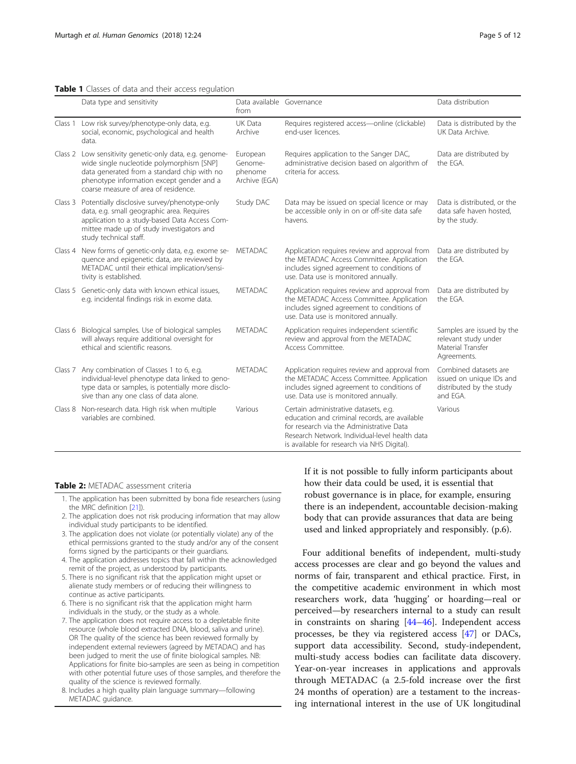<span id="page-5-0"></span>

| <b>Table 1</b> Classes of data and their access regulation |  |  |  |  |  |  |  |  |
|------------------------------------------------------------|--|--|--|--|--|--|--|--|
|------------------------------------------------------------|--|--|--|--|--|--|--|--|

|         | Data type and sensitivity                                                                                                                                                                                                                | Data available Governance<br>from               |                                                                                                                                                                                                                                     | Data distribution                                                                         |
|---------|------------------------------------------------------------------------------------------------------------------------------------------------------------------------------------------------------------------------------------------|-------------------------------------------------|-------------------------------------------------------------------------------------------------------------------------------------------------------------------------------------------------------------------------------------|-------------------------------------------------------------------------------------------|
| Class 1 | Low risk survey/phenotype-only data, e.g.<br>social, economic, psychological and health<br>data.                                                                                                                                         | UK Data<br>Archive                              | Requires registered access-online (clickable)<br>end-user licences.                                                                                                                                                                 | Data is distributed by the<br>UK Data Archive.                                            |
|         | Class 2 Low sensitivity genetic-only data, e.g. genome-<br>wide single nucleotide polymorphism [SNP]<br>data generated from a standard chip with no<br>phenotype information except gender and a<br>coarse measure of area of residence. | European<br>Genome-<br>phenome<br>Archive (EGA) | Requires application to the Sanger DAC,<br>administrative decision based on algorithm of<br>criteria for access.                                                                                                                    | Data are distributed by<br>the EGA.                                                       |
|         | Class 3 Potentially disclosive survey/phenotype-only<br>data, e.g. small geographic area. Requires<br>application to a study-based Data Access Com-<br>mittee made up of study investigators and<br>study technical staff.               | Study DAC                                       | Data may be issued on special licence or may<br>be accessible only in on or off-site data safe<br>havens.                                                                                                                           | Data is distributed, or the<br>data safe haven hosted.<br>by the study.                   |
| Class 4 | New forms of genetic-only data, e.g. exome se-<br>quence and epigenetic data, are reviewed by<br>METADAC until their ethical implication/sensi-<br>tivity is established.                                                                | <b>METADAC</b>                                  | Application requires review and approval from<br>the METADAC Access Committee. Application<br>includes signed agreement to conditions of<br>use. Data use is monitored annually.                                                    | Data are distributed by<br>the EGA.                                                       |
| Class 5 | Genetic-only data with known ethical issues,<br>e.g. incidental findings risk in exome data.                                                                                                                                             | <b>MFTADAC</b>                                  | Application requires review and approval from<br>the METADAC Access Committee. Application<br>includes signed agreement to conditions of<br>use. Data use is monitored annually.                                                    | Data are distributed by<br>the FGA.                                                       |
| Class 6 | Biological samples. Use of biological samples<br>will always require additional oversight for<br>ethical and scientific reasons.                                                                                                         | <b>MFTADAC</b>                                  | Application requires independent scientific<br>review and approval from the METADAC<br>Access Committee.                                                                                                                            | Samples are issued by the<br>relevant study under<br>Material Transfer<br>Agreements.     |
| Class 7 | Any combination of Classes 1 to 6, e.g.<br>individual-level phenotype data linked to geno-<br>type data or samples, is potentially more disclo-<br>sive than any one class of data alone.                                                | <b>MFTADAC</b>                                  | Application requires review and approval from<br>the METADAC Access Committee. Application<br>includes signed agreement to conditions of<br>use. Data use is monitored annually.                                                    | Combined datasets are<br>issued on unique IDs and<br>distributed by the study<br>and FGA. |
|         | Class 8 Non-research data. High risk when multiple<br>variables are combined.                                                                                                                                                            | Various                                         | Certain administrative datasets, e.g.<br>education and criminal records, are available<br>for research via the Administrative Data<br>Research Network, Individual-level health data<br>is available for research via NHS Digital). | Various                                                                                   |

#### Table 2: METADAC assessment criteria

- 1. The application has been submitted by bona fide researchers (using the MRC definition [\[21\]](#page-11-0)).
- 2. The application does not risk producing information that may allow individual study participants to be identified.
- 3. The application does not violate (or potentially violate) any of the ethical permissions granted to the study and/or any of the consent forms signed by the participants or their guardians.
- 4. The application addresses topics that fall within the acknowledged remit of the project, as understood by participants.
- 5. There is no significant risk that the application might upset or alienate study members or of reducing their willingness to continue as active participants.
- 6. There is no significant risk that the application might harm individuals in the study, or the study as a whole.
- 7. The application does not require access to a depletable finite resource (whole blood extracted DNA, blood, saliva and urine). OR The quality of the science has been reviewed formally by independent external reviewers (agreed by METADAC) and has been judged to merit the use of finite biological samples. NB: Applications for finite bio-samples are seen as being in competition with other potential future uses of those samples, and therefore the quality of the science is reviewed formally.
- 8. Includes a high quality plain language summary—following METADAC guidance.

If it is not possible to fully inform participants about how their data could be used, it is essential that robust governance is in place, for example, ensuring there is an independent, accountable decision-making body that can provide assurances that data are being used and linked appropriately and responsibly. (p.6).

Four additional benefits of independent, multi-study access processes are clear and go beyond the values and norms of fair, transparent and ethical practice. First, in the competitive academic environment in which most researchers work, data 'hugging' or hoarding—real or perceived—by researchers internal to a study can result in constraints on sharing [\[44](#page-11-0)–[46\]](#page-11-0). Independent access processes, be they via registered access [[47](#page-11-0)] or DACs, support data accessibility. Second, study-independent, multi-study access bodies can facilitate data discovery. Year-on-year increases in applications and approvals through METADAC (a 2.5-fold increase over the first 24 months of operation) are a testament to the increasing international interest in the use of UK longitudinal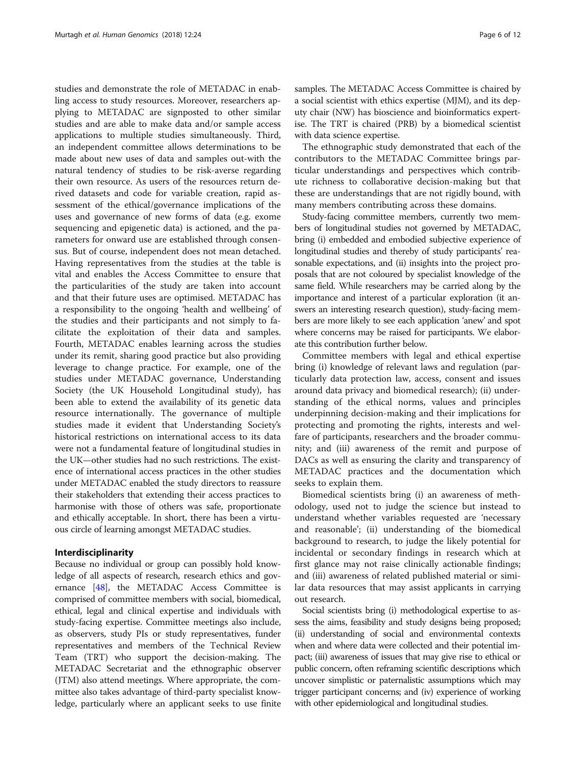studies and demonstrate the role of METADAC in enabling access to study resources. Moreover, researchers applying to METADAC are signposted to other similar studies and are able to make data and/or sample access applications to multiple studies simultaneously. Third, an independent committee allows determinations to be made about new uses of data and samples out-with the natural tendency of studies to be risk-averse regarding their own resource. As users of the resources return derived datasets and code for variable creation, rapid assessment of the ethical/governance implications of the uses and governance of new forms of data (e.g. exome sequencing and epigenetic data) is actioned, and the parameters for onward use are established through consensus. But of course, independent does not mean detached. Having representatives from the studies at the table is vital and enables the Access Committee to ensure that the particularities of the study are taken into account and that their future uses are optimised. METADAC has a responsibility to the ongoing 'health and wellbeing' of the studies and their participants and not simply to facilitate the exploitation of their data and samples. Fourth, METADAC enables learning across the studies under its remit, sharing good practice but also providing leverage to change practice. For example, one of the studies under METADAC governance, Understanding Society (the UK Household Longitudinal study), has been able to extend the availability of its genetic data resource internationally. The governance of multiple studies made it evident that Understanding Society's historical restrictions on international access to its data were not a fundamental feature of longitudinal studies in the UK—other studies had no such restrictions. The existence of international access practices in the other studies under METADAC enabled the study directors to reassure their stakeholders that extending their access practices to harmonise with those of others was safe, proportionate and ethically acceptable. In short, there has been a virtuous circle of learning amongst METADAC studies.

# Interdisciplinarity

Because no individual or group can possibly hold knowledge of all aspects of research, research ethics and governance [[48\]](#page-11-0), the METADAC Access Committee is comprised of committee members with social, biomedical, ethical, legal and clinical expertise and individuals with study-facing expertise. Committee meetings also include, as observers, study PIs or study representatives, funder representatives and members of the Technical Review Team (TRT) who support the decision-making. The METADAC Secretariat and the ethnographic observer (JTM) also attend meetings. Where appropriate, the committee also takes advantage of third-party specialist knowledge, particularly where an applicant seeks to use finite samples. The METADAC Access Committee is chaired by a social scientist with ethics expertise (MJM), and its deputy chair (NW) has bioscience and bioinformatics expertise. The TRT is chaired (PRB) by a biomedical scientist with data science expertise.

The ethnographic study demonstrated that each of the contributors to the METADAC Committee brings particular understandings and perspectives which contribute richness to collaborative decision-making but that these are understandings that are not rigidly bound, with many members contributing across these domains.

Study-facing committee members, currently two members of longitudinal studies not governed by METADAC, bring (i) embedded and embodied subjective experience of longitudinal studies and thereby of study participants' reasonable expectations, and (ii) insights into the project proposals that are not coloured by specialist knowledge of the same field. While researchers may be carried along by the importance and interest of a particular exploration (it answers an interesting research question), study-facing members are more likely to see each application 'anew' and spot where concerns may be raised for participants. We elaborate this contribution further below.

Committee members with legal and ethical expertise bring (i) knowledge of relevant laws and regulation (particularly data protection law, access, consent and issues around data privacy and biomedical research); (ii) understanding of the ethical norms, values and principles underpinning decision-making and their implications for protecting and promoting the rights, interests and welfare of participants, researchers and the broader community; and (iii) awareness of the remit and purpose of DACs as well as ensuring the clarity and transparency of METADAC practices and the documentation which seeks to explain them.

Biomedical scientists bring (i) an awareness of methodology, used not to judge the science but instead to understand whether variables requested are 'necessary and reasonable'; (ii) understanding of the biomedical background to research, to judge the likely potential for incidental or secondary findings in research which at first glance may not raise clinically actionable findings; and (iii) awareness of related published material or similar data resources that may assist applicants in carrying out research.

Social scientists bring (i) methodological expertise to assess the aims, feasibility and study designs being proposed; (ii) understanding of social and environmental contexts when and where data were collected and their potential impact; (iii) awareness of issues that may give rise to ethical or public concern, often reframing scientific descriptions which uncover simplistic or paternalistic assumptions which may trigger participant concerns; and (iv) experience of working with other epidemiological and longitudinal studies.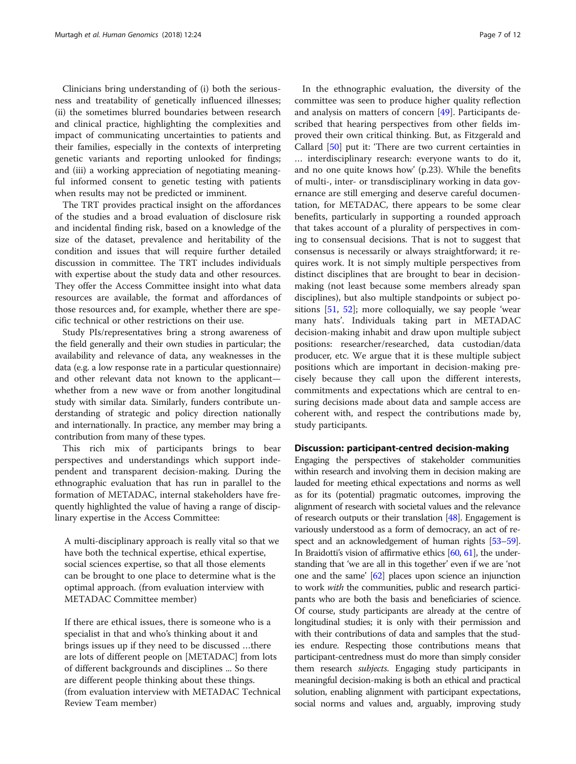Clinicians bring understanding of (i) both the seriousness and treatability of genetically influenced illnesses; (ii) the sometimes blurred boundaries between research and clinical practice, highlighting the complexities and impact of communicating uncertainties to patients and their families, especially in the contexts of interpreting genetic variants and reporting unlooked for findings; and (iii) a working appreciation of negotiating meaningful informed consent to genetic testing with patients when results may not be predicted or imminent.

The TRT provides practical insight on the affordances of the studies and a broad evaluation of disclosure risk and incidental finding risk, based on a knowledge of the size of the dataset, prevalence and heritability of the condition and issues that will require further detailed discussion in committee. The TRT includes individuals with expertise about the study data and other resources. They offer the Access Committee insight into what data resources are available, the format and affordances of those resources and, for example, whether there are specific technical or other restrictions on their use.

Study PIs/representatives bring a strong awareness of the field generally and their own studies in particular; the availability and relevance of data, any weaknesses in the data (e.g. a low response rate in a particular questionnaire) and other relevant data not known to the applicant whether from a new wave or from another longitudinal study with similar data. Similarly, funders contribute understanding of strategic and policy direction nationally and internationally. In practice, any member may bring a contribution from many of these types.

This rich mix of participants brings to bear perspectives and understandings which support independent and transparent decision-making. During the ethnographic evaluation that has run in parallel to the formation of METADAC, internal stakeholders have frequently highlighted the value of having a range of disciplinary expertise in the Access Committee:

A multi-disciplinary approach is really vital so that we have both the technical expertise, ethical expertise, social sciences expertise, so that all those elements can be brought to one place to determine what is the optimal approach. (from evaluation interview with METADAC Committee member)

If there are ethical issues, there is someone who is a specialist in that and who's thinking about it and brings issues up if they need to be discussed …there are lots of different people on [METADAC] from lots of different backgrounds and disciplines ... So there are different people thinking about these things. (from evaluation interview with METADAC Technical Review Team member)

In the ethnographic evaluation, the diversity of the committee was seen to produce higher quality reflection and analysis on matters of concern [\[49](#page-11-0)]. Participants described that hearing perspectives from other fields improved their own critical thinking. But, as Fitzgerald and Callard [[50\]](#page-11-0) put it: 'There are two current certainties in … interdisciplinary research: everyone wants to do it, and no one quite knows how' (p.23). While the benefits of multi-, inter- or transdisciplinary working in data governance are still emerging and deserve careful documentation, for METADAC, there appears to be some clear benefits, particularly in supporting a rounded approach that takes account of a plurality of perspectives in coming to consensual decisions. That is not to suggest that consensus is necessarily or always straightforward; it requires work. It is not simply multiple perspectives from distinct disciplines that are brought to bear in decisionmaking (not least because some members already span disciplines), but also multiple standpoints or subject positions [[51](#page-11-0), [52\]](#page-12-0); more colloquially, we say people 'wear many hats'. Individuals taking part in METADAC decision-making inhabit and draw upon multiple subject positions: researcher/researched, data custodian/data producer, etc. We argue that it is these multiple subject positions which are important in decision-making precisely because they call upon the different interests, commitments and expectations which are central to ensuring decisions made about data and sample access are coherent with, and respect the contributions made by, study participants.

# Discussion: participant-centred decision-making

Engaging the perspectives of stakeholder communities within research and involving them in decision making are lauded for meeting ethical expectations and norms as well as for its (potential) pragmatic outcomes, improving the alignment of research with societal values and the relevance of research outputs or their translation [[48](#page-11-0)]. Engagement is variously understood as a form of democracy, an act of re-spect and an acknowledgement of human rights [[53](#page-12-0)–[59](#page-12-0)]. In Braidotti's vision of affirmative ethics [[60](#page-12-0), [61](#page-12-0)], the understanding that 'we are all in this together' even if we are 'not one and the same' [[62](#page-12-0)] places upon science an injunction to work with the communities, public and research participants who are both the basis and beneficiaries of science. Of course, study participants are already at the centre of longitudinal studies; it is only with their permission and with their contributions of data and samples that the studies endure. Respecting those contributions means that participant-centredness must do more than simply consider them research *subjects*. Engaging study participants in meaningful decision-making is both an ethical and practical solution, enabling alignment with participant expectations, social norms and values and, arguably, improving study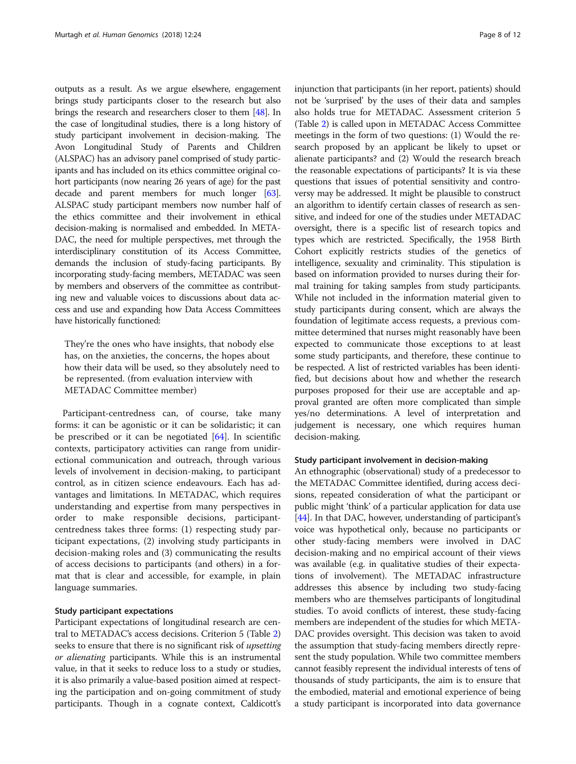outputs as a result. As we argue elsewhere, engagement brings study participants closer to the research but also brings the research and researchers closer to them [\[48\]](#page-11-0). In the case of longitudinal studies, there is a long history of study participant involvement in decision-making. The Avon Longitudinal Study of Parents and Children (ALSPAC) has an advisory panel comprised of study participants and has included on its ethics committee original cohort participants (now nearing 26 years of age) for the past decade and parent members for much longer [\[63](#page-12-0)]. ALSPAC study participant members now number half of the ethics committee and their involvement in ethical decision-making is normalised and embedded. In META-DAC, the need for multiple perspectives, met through the interdisciplinary constitution of its Access Committee, demands the inclusion of study-facing participants. By incorporating study-facing members, METADAC was seen by members and observers of the committee as contributing new and valuable voices to discussions about data access and use and expanding how Data Access Committees have historically functioned:

They're the ones who have insights, that nobody else has, on the anxieties, the concerns, the hopes about how their data will be used, so they absolutely need to be represented. (from evaluation interview with METADAC Committee member)

Participant-centredness can, of course, take many forms: it can be agonistic or it can be solidaristic; it can be prescribed or it can be negotiated [\[64\]](#page-12-0). In scientific contexts, participatory activities can range from unidirectional communication and outreach, through various levels of involvement in decision-making, to participant control, as in citizen science endeavours. Each has advantages and limitations. In METADAC, which requires understanding and expertise from many perspectives in order to make responsible decisions, participantcentredness takes three forms: (1) respecting study participant expectations, (2) involving study participants in decision-making roles and (3) communicating the results of access decisions to participants (and others) in a format that is clear and accessible, for example, in plain language summaries.

#### Study participant expectations

Participant expectations of longitudinal research are central to METADAC's access decisions. Criterion 5 (Table [2](#page-5-0)) seeks to ensure that there is no significant risk of *upsetting* or alienating participants. While this is an instrumental value, in that it seeks to reduce loss to a study or studies, it is also primarily a value-based position aimed at respecting the participation and on-going commitment of study participants. Though in a cognate context, Caldicott's injunction that participants (in her report, patients) should not be 'surprised' by the uses of their data and samples also holds true for METADAC. Assessment criterion 5 (Table [2](#page-5-0)) is called upon in METADAC Access Committee meetings in the form of two questions: (1) Would the research proposed by an applicant be likely to upset or alienate participants? and (2) Would the research breach the reasonable expectations of participants? It is via these questions that issues of potential sensitivity and controversy may be addressed. It might be plausible to construct an algorithm to identify certain classes of research as sensitive, and indeed for one of the studies under METADAC oversight, there is a specific list of research topics and types which are restricted. Specifically, the 1958 Birth Cohort explicitly restricts studies of the genetics of intelligence, sexuality and criminality. This stipulation is based on information provided to nurses during their formal training for taking samples from study participants. While not included in the information material given to study participants during consent, which are always the foundation of legitimate access requests, a previous committee determined that nurses might reasonably have been expected to communicate those exceptions to at least some study participants, and therefore, these continue to be respected. A list of restricted variables has been identified, but decisions about how and whether the research purposes proposed for their use are acceptable and approval granted are often more complicated than simple yes/no determinations. A level of interpretation and judgement is necessary, one which requires human decision-making.

#### Study participant involvement in decision-making

An ethnographic (observational) study of a predecessor to the METADAC Committee identified, during access decisions, repeated consideration of what the participant or public might 'think' of a particular application for data use [[44](#page-11-0)]. In that DAC, however, understanding of participant's voice was hypothetical only, because no participants or other study-facing members were involved in DAC decision-making and no empirical account of their views was available (e.g. in qualitative studies of their expectations of involvement). The METADAC infrastructure addresses this absence by including two study-facing members who are themselves participants of longitudinal studies. To avoid conflicts of interest, these study-facing members are independent of the studies for which META-DAC provides oversight. This decision was taken to avoid the assumption that study-facing members directly represent the study population. While two committee members cannot feasibly represent the individual interests of tens of thousands of study participants, the aim is to ensure that the embodied, material and emotional experience of being a study participant is incorporated into data governance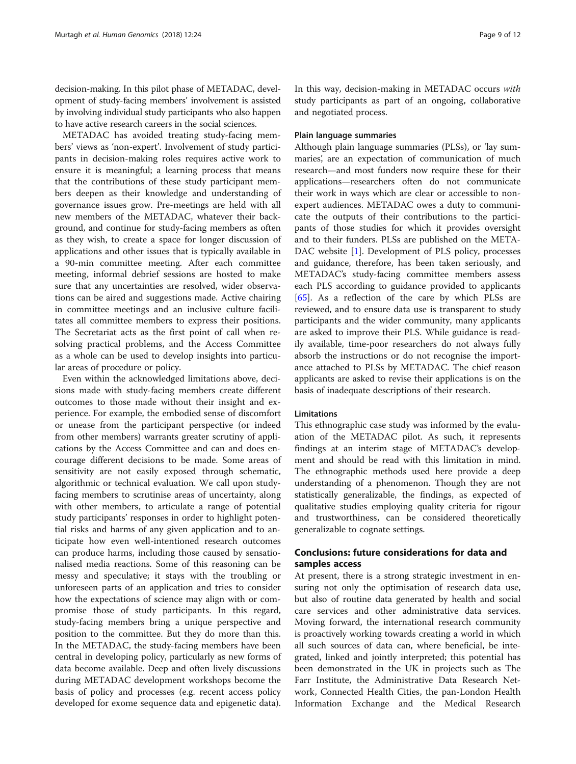decision-making. In this pilot phase of METADAC, development of study-facing members' involvement is assisted by involving individual study participants who also happen to have active research careers in the social sciences.

METADAC has avoided treating study-facing members' views as 'non-expert'. Involvement of study participants in decision-making roles requires active work to ensure it is meaningful; a learning process that means that the contributions of these study participant members deepen as their knowledge and understanding of governance issues grow. Pre-meetings are held with all new members of the METADAC, whatever their background, and continue for study-facing members as often as they wish, to create a space for longer discussion of applications and other issues that is typically available in a 90-min committee meeting. After each committee meeting, informal debrief sessions are hosted to make sure that any uncertainties are resolved, wider observations can be aired and suggestions made. Active chairing in committee meetings and an inclusive culture facilitates all committee members to express their positions. The Secretariat acts as the first point of call when resolving practical problems, and the Access Committee as a whole can be used to develop insights into particular areas of procedure or policy.

Even within the acknowledged limitations above, decisions made with study-facing members create different outcomes to those made without their insight and experience. For example, the embodied sense of discomfort or unease from the participant perspective (or indeed from other members) warrants greater scrutiny of applications by the Access Committee and can and does encourage different decisions to be made. Some areas of sensitivity are not easily exposed through schematic, algorithmic or technical evaluation. We call upon studyfacing members to scrutinise areas of uncertainty, along with other members, to articulate a range of potential study participants' responses in order to highlight potential risks and harms of any given application and to anticipate how even well-intentioned research outcomes can produce harms, including those caused by sensationalised media reactions. Some of this reasoning can be messy and speculative; it stays with the troubling or unforeseen parts of an application and tries to consider how the expectations of science may align with or compromise those of study participants. In this regard, study-facing members bring a unique perspective and position to the committee. But they do more than this. In the METADAC, the study-facing members have been central in developing policy, particularly as new forms of data become available. Deep and often lively discussions during METADAC development workshops become the basis of policy and processes (e.g. recent access policy developed for exome sequence data and epigenetic data). In this way, decision-making in METADAC occurs with study participants as part of an ongoing, collaborative and negotiated process.

# Plain language summaries

Although plain language summaries (PLSs), or 'lay summaries', are an expectation of communication of much research—and most funders now require these for their applications—researchers often do not communicate their work in ways which are clear or accessible to nonexpert audiences. METADAC owes a duty to communicate the outputs of their contributions to the participants of those studies for which it provides oversight and to their funders. PLSs are published on the META-DAC website [\[1](#page-11-0)]. Development of PLS policy, processes and guidance, therefore, has been taken seriously, and METADAC's study-facing committee members assess each PLS according to guidance provided to applicants [[65\]](#page-12-0). As a reflection of the care by which PLSs are reviewed, and to ensure data use is transparent to study participants and the wider community, many applicants are asked to improve their PLS. While guidance is readily available, time-poor researchers do not always fully absorb the instructions or do not recognise the importance attached to PLSs by METADAC. The chief reason applicants are asked to revise their applications is on the basis of inadequate descriptions of their research.

# Limitations

This ethnographic case study was informed by the evaluation of the METADAC pilot. As such, it represents findings at an interim stage of METADAC's development and should be read with this limitation in mind. The ethnographic methods used here provide a deep understanding of a phenomenon. Though they are not statistically generalizable, the findings, as expected of qualitative studies employing quality criteria for rigour and trustworthiness, can be considered theoretically generalizable to cognate settings.

# Conclusions: future considerations for data and samples access

At present, there is a strong strategic investment in ensuring not only the optimisation of research data use, but also of routine data generated by health and social care services and other administrative data services. Moving forward, the international research community is proactively working towards creating a world in which all such sources of data can, where beneficial, be integrated, linked and jointly interpreted; this potential has been demonstrated in the UK in projects such as The Farr Institute, the Administrative Data Research Network, Connected Health Cities, the pan-London Health Information Exchange and the Medical Research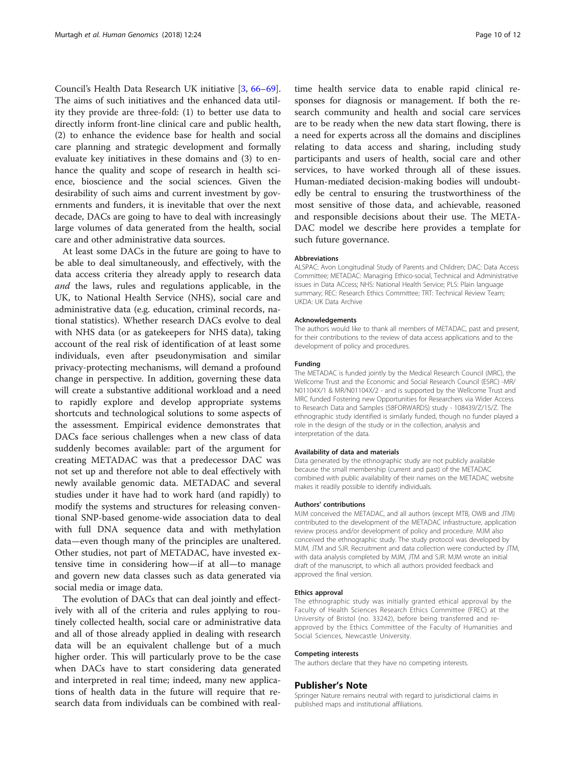Council's Health Data Research UK initiative [\[3](#page-11-0), [66](#page-12-0)–[69](#page-12-0)]. The aims of such initiatives and the enhanced data utility they provide are three-fold: (1) to better use data to directly inform front-line clinical care and public health, (2) to enhance the evidence base for health and social care planning and strategic development and formally evaluate key initiatives in these domains and (3) to enhance the quality and scope of research in health science, bioscience and the social sciences. Given the desirability of such aims and current investment by governments and funders, it is inevitable that over the next decade, DACs are going to have to deal with increasingly large volumes of data generated from the health, social care and other administrative data sources.

At least some DACs in the future are going to have to be able to deal simultaneously, and effectively, with the data access criteria they already apply to research data and the laws, rules and regulations applicable, in the UK, to National Health Service (NHS), social care and administrative data (e.g. education, criminal records, national statistics). Whether research DACs evolve to deal with NHS data (or as gatekeepers for NHS data), taking account of the real risk of identification of at least some individuals, even after pseudonymisation and similar privacy-protecting mechanisms, will demand a profound change in perspective. In addition, governing these data will create a substantive additional workload and a need to rapidly explore and develop appropriate systems shortcuts and technological solutions to some aspects of the assessment. Empirical evidence demonstrates that DACs face serious challenges when a new class of data suddenly becomes available: part of the argument for creating METADAC was that a predecessor DAC was not set up and therefore not able to deal effectively with newly available genomic data. METADAC and several studies under it have had to work hard (and rapidly) to modify the systems and structures for releasing conventional SNP-based genome-wide association data to deal with full DNA sequence data and with methylation data—even though many of the principles are unaltered. Other studies, not part of METADAC, have invested extensive time in considering how—if at all—to manage and govern new data classes such as data generated via social media or image data.

The evolution of DACs that can deal jointly and effectively with all of the criteria and rules applying to routinely collected health, social care or administrative data and all of those already applied in dealing with research data will be an equivalent challenge but of a much higher order. This will particularly prove to be the case when DACs have to start considering data generated and interpreted in real time; indeed, many new applications of health data in the future will require that research data from individuals can be combined with real-

time health service data to enable rapid clinical responses for diagnosis or management. If both the research community and health and social care services are to be ready when the new data start flowing, there is a need for experts across all the domains and disciplines relating to data access and sharing, including study participants and users of health, social care and other services, to have worked through all of these issues. Human-mediated decision-making bodies will undoubtedly be central to ensuring the trustworthiness of the most sensitive of those data, and achievable, reasoned and responsible decisions about their use. The META-DAC model we describe here provides a template for such future governance.

#### Abbreviations

ALSPAC: Avon Longitudinal Study of Parents and Children; DAC: Data Access Committee; METADAC: Managing Ethico-social, Technical and Administrative issues in Data ACcess; NHS: National Health Service; PLS: Plain language summary; REC: Research Ethics Committee; TRT: Technical Review Team; UKDA: UK Data Archive

#### Acknowledgements

The authors would like to thank all members of METADAC, past and present, for their contributions to the review of data access applications and to the development of policy and procedures.

#### Funding

The METADAC is funded jointly by the Medical Research Council (MRC), the Wellcome Trust and the Economic and Social Research Council (ESRC) -MR/ N01104X/1 & MR/N01104X/2 - and is supported by the Wellcome Trust and MRC funded Fostering new Opportunities for Researchers via Wider Access to Research Data and Samples (58FORWARDS) study - 108439/Z/15/Z. The ethnographic study identified is similarly funded, though no funder played a role in the design of the study or in the collection, analysis and interpretation of the data.

#### Availability of data and materials

Data generated by the ethnographic study are not publicly available because the small membership (current and past) of the METADAC combined with public availability of their names on the METADAC website makes it readily possible to identify individuals.

#### Authors' contributions

MJM conceived the METADAC, and all authors (except MTB, OWB and JTM) contributed to the development of the METADAC infrastructure, application review process and/or development of policy and procedure. MJM also conceived the ethnographic study. The study protocol was developed by MJM, JTM and SJR. Recruitment and data collection were conducted by JTM, with data analysis completed by MJM, JTM and SJR. MJM wrote an initial draft of the manuscript, to which all authors provided feedback and approved the final version.

#### Ethics approval

The ethnographic study was initially granted ethical approval by the Faculty of Health Sciences Research Ethics Committee (FREC) at the University of Bristol (no. 33242), before being transferred and reapproved by the Ethics Committee of the Faculty of Humanities and Social Sciences, Newcastle University.

#### Competing interests

The authors declare that they have no competing interests.

#### Publisher's Note

Springer Nature remains neutral with regard to jurisdictional claims in published maps and institutional affiliations.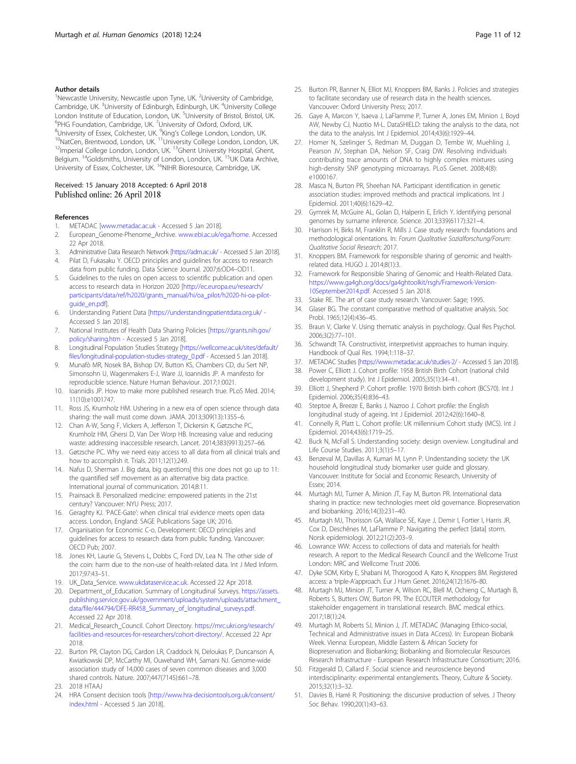## <span id="page-11-0"></span>Author details

<sup>1</sup>Newcastle University, Newcastle upon Tyne, UK. <sup>2</sup>University of Cambridge, Cambridge, UK.<sup>3</sup> University of Edinburgh, Edinburgh, UK.<sup>4</sup> University College London Institute of Education, London, UK. <sup>5</sup>University of Bristol, Bristol, UK.<br><sup>6</sup>PHG Equadation, Cambridge UK. <sup>7</sup>University of Oxford, Oxford UK. <sup>6</sup>PHG Foundation, Cambridge, UK. <sup>7</sup>University of Oxford, Oxford, UK.<br><sup>8</sup>University of Essex, Colchester, UK. <sup>9</sup>King's College London, London <sup>8</sup>University of Essex, Colchester, UK. <sup>9</sup>King's College London, London, UK. <sup>10</sup>NatCen, Brentwood, London, UK. <sup>11</sup>University College London, London, UK. <sup>12</sup>Imperial College London, London, London, London, London, London, UK. <sup>13</sup>Ghent University Hospital, Ghent, Belgium. <sup>14</sup>Goldsmiths, University of London, London, UK. <sup>15</sup>UK Data Archive, University of Essex, Colchester, UK. <sup>16</sup>NIHR Bioresource, Cambridge, UK.

#### Received: 15 January 2018 Accepted: 6 April 2018 Published online: 26 April 2018

### References

- 1. METADAC [[www.metadac.ac.uk](http://www.metadac.ac.uk) Accessed 5 Jan 2018].
- 2. European Genome-Phenome Archive. [www.ebi.ac.uk/ega/home](https://www.ebi.ac.uk/ega/home). Accessed 22 Apr 2018.
- 3. Administrative Data Research Network [\[https://adrn.ac.uk](https://adrn.ac.uk)/ Accessed 5 Jan 2018]. 4. Pilat D, Fukasaku Y. OECD principles and guidelines for access to research
- data from public funding. Data Science Journal. 2007;6:OD4–OD11. 5. Guidelines to the rules on open access to scientific publication and open access to research data in Horizon 2020 [[http://ec.europa.eu/research/](http://ec.europa.eu/research/participants/data/ref/h2020/grants_manual/hi/oa_pilot/h2020-hi-oa-pilot-guide_en.pdf) [participants/data/ref/h2020/grants\\_manual/hi/oa\\_pilot/h2020-hi-oa-pilot](http://ec.europa.eu/research/participants/data/ref/h2020/grants_manual/hi/oa_pilot/h2020-hi-oa-pilot-guide_en.pdf)[guide\\_en.pdf\]](http://ec.europa.eu/research/participants/data/ref/h2020/grants_manual/hi/oa_pilot/h2020-hi-oa-pilot-guide_en.pdf).
- 6. Understanding Patient Data [\[https://understandingpatientdata.org.uk](https://understandingpatientdata.org.uk)/ Accessed 5 Jan 2018].
- 7. National Institutes of Health Data Sharing Policies [\[https://grants.nih.gov/](https://grants.nih.gov/policy/sharing.htm) [policy/sharing.htm](https://grants.nih.gov/policy/sharing.htm) - Accessed 5 Jan 2018].
- 8. Longitudinal Population Studies Strategy [\[https://wellcome.ac.uk/sites/default/](https://wellcome.ac.uk/sites/default/files/longitudinal-population-studies-strategy_0.pdf) [files/longitudinal-population-studies-strategy\\_0.pdf](https://wellcome.ac.uk/sites/default/files/longitudinal-population-studies-strategy_0.pdf) - Accessed 5 Jan 2018].
- 9. Munafò MR, Nosek BA, Bishop DV, Button KS, Chambers CD, du Sert NP, Simonsohn U, Wagenmakers E-J, Ware JJ, Ioannidis JP. A manifesto for reproducible science. Nature Human Behaviour. 2017;1:0021.
- 10. Ioannidis JP. How to make more published research true. PLoS Med. 2014; 11(10):e1001747.
- 11. Ross JS, Krumholz HM. Ushering in a new era of open science through data sharing: the wall must come down. JAMA. 2013;309(13):1355–6.
- 12. Chan A-W, Song F, Vickers A, Jefferson T, Dickersin K, Gøtzsche PC, Krumholz HM, Ghersi D, Van Der Worp HB. Increasing value and reducing waste: addressing inaccessible research. Lancet. 2014;383(9913):257–66.
- 13. Gøtzsche PC. Why we need easy access to all data from all clinical trials and how to accomplish it. Trials. 2011;12(1):249.
- 14. Nafus D, Sherman J. Big data, big questions| this one does not go up to 11: the quantified self movement as an alternative big data practice. International journal of communication. 2014;8:11.
- 15. Prainsack B. Personalized medicine: empowered patients in the 21st century? Vancouver: NYU Press; 2017.
- 16. Geraghty KJ. 'PACE-Gate': when clinical trial evidence meets open data access. London, England: SAGE Publications Sage UK; 2016.
- 17. Organisation for Economic C-o, Development: OECD principles and guidelines for access to research data from public funding. Vancouver: OECD Pub; 2007.
- 18. Jones KH, Laurie G, Stevens L, Dobbs C, Ford DV, Lea N. The other side of the coin: harm due to the non-use of health-related data. Int J Med Inform. 2017;97:43–51.
- 19. UK\_Data\_Service. [www.ukdataservice.ac.uk](https://www.ukdataservice.ac.uk). Accessed 22 Apr 2018.
- 20. Department\_of\_Education. Summary of Longitudinal Surveys. [https://assets.](https://assets.publishing.service.gov.uk/government/uploads/system/uploads/attachment_data/file/444794/DFE-RR458_Summary_of_longitudinal_surveys.pdf) [publishing.service.gov.uk/government/uploads/system/uploads/attachment\\_](https://assets.publishing.service.gov.uk/government/uploads/system/uploads/attachment_data/file/444794/DFE-RR458_Summary_of_longitudinal_surveys.pdf) [data/file/444794/DFE-RR458\\_Summary\\_of\\_longitudinal\\_surveys.pdf.](https://assets.publishing.service.gov.uk/government/uploads/system/uploads/attachment_data/file/444794/DFE-RR458_Summary_of_longitudinal_surveys.pdf) Accessed 22 Apr 2018.
- 21. Medical\_Research\_Council. Cohort Directory. [https://mrc.ukri.org/research/](https://mrc.ukri.org/research/facilities-and-resources-for-researchers/cohort-directory/) [facilities-and-resources-for-researchers/cohort-directory/](https://mrc.ukri.org/research/facilities-and-resources-for-researchers/cohort-directory/). Accessed 22 Apr 2018.
- 22. Burton PR, Clayton DG, Cardon LR, Craddock N, Deloukas P, Duncanson A, Kwiatkowski DP, McCarthy MI, Ouwehand WH, Samani NJ. Genome-wide association study of 14,000 cases of seven common diseases and 3,000 shared controls. Nature. 2007;447(7145):661–78.
- 23. 2018 HTAAJ
- 24. HRA Consent decision tools [\[http://www.hra-decisiontools.org.uk/consent/](http://www.hra-decisiontools.org.uk/consent/index.html) [index.html](http://www.hra-decisiontools.org.uk/consent/index.html) - Accessed 5 Jan 2018].
- 25. Burton PR, Banner N, Elliot MJ, Knoppers BM, Banks J. Policies and strategies to facilitate secondary use of research data in the health sciences. Vancouver: Oxford University Press; 2017.
- 26. Gaye A, Marcon Y, Isaeva J, LaFlamme P, Turner A, Jones EM, Minion J, Boyd AW, Newby CJ, Nuotio M-L. DataSHIELD: taking the analysis to the data, not the data to the analysis. Int J Epidemiol. 2014;43(6):1929–44.
- 27. Homer N, Szelinger S, Redman M, Duggan D, Tembe W, Muehling J, Pearson JV, Stephan DA, Nelson SF, Craig DW. Resolving individuals contributing trace amounts of DNA to highly complex mixtures using high-density SNP genotyping microarrays. PLoS Genet. 2008;4(8): e1000167.
- 28. Masca N, Burton PR, Sheehan NA. Participant identification in genetic association studies: improved methods and practical implications. Int J Epidemiol. 2011;40(6):1629–42.
- 29. Gymrek M, McGuire AL, Golan D, Halperin E, Erlich Y. Identifying personal genomes by surname inference. Science. 2013;339(6117):321–4.
- 30. Harrison H, Birks M, Franklin R, Mills J. Case study research: foundations and methodological orientations. In: Forum Qualitative Sozialforschung/Forum: Qualitative Social Research; 2017.
- 31. Knoppers BM. Framework for responsible sharing of genomic and healthrelated data. HUGO J. 2014;8(1):3.
- 32. Framework for Responsible Sharing of Genomic and Health-Related Data. [https://www.ga4gh.org/docs/ga4ghtoolkit/rsgh/Framework-Version-](https://www.ga4gh.org/docs/ga4ghtoolkit/rsgh/Framework-Version-10September2014.pdf)[10September2014.pdf](https://www.ga4gh.org/docs/ga4ghtoolkit/rsgh/Framework-Version-10September2014.pdf). Accessed 5 Jan 2018.
- 33. Stake RE. The art of case study research. Vancouver: Sage; 1995.
- 34. Glaser BG. The constant comparative method of qualitative analysis. Soc Probl. 1965;12(4):436–45.
- 35. Braun V, Clarke V. Using thematic analysis in psychology. Qual Res Psychol. 2006;3(2):77–101.
- 36. Schwandt TA. Constructivist, interpretivist approaches to human inquiry. Handbook of Qual Res. 1994;1:118–37.
- 37. METADAC Studies [\[https://www.metadac.ac.uk/studies-2/](https://www.metadac.ac.uk/studies-2) Accessed 5 Jan 2018].
- 38. Power C, Elliott J. Cohort profile: 1958 British Birth Cohort (national child development study). Int J Epidemiol. 2005;35(1):34–41.
- 39. Elliott J, Shepherd P. Cohort profile: 1970 British birth cohort (BCS70). Int J Epidemiol. 2006;35(4):836–43.
- 40. Steptoe A, Breeze E, Banks J, Nazroo J. Cohort profile: the English longitudinal study of ageing. Int J Epidemiol. 2012;42(6):1640–8.
- 41. Connelly R, Platt L. Cohort profile: UK millennium Cohort study (MCS). Int J Epidemiol. 2014;43(6):1719–25.
- 42. Buck N, McFall S. Understanding society: design overview. Longitudinal and Life Course Studies. 2011;3(1):5–17.
- 43. Benzeval M, Davillas A, Kumari M, Lynn P. Understanding society: the UK household longitudinal study biomarker user guide and glossary. Vancouver: Institute for Social and Economic Research, University of Essex; 2014.
- 44. Murtagh MJ, Turner A, Minion JT, Fay M, Burton PR. International data sharing in practice: new technologies meet old governance. Biopreservation and biobanking. 2016;14(3):231–40.
- 45. Murtagh MJ, Thorisson GA, Wallace SE, Kaye J, Demir I, Fortier I, Harris JR, Cox D, Deschênes M, LaFlamme P. Navigating the perfect [data] storm. Norsk epidemiologi. 2012;21(2):203–9.
- 46. Lowrance WW: Access to collections of data and materials for health research. A report to the Medical Research Council and the Wellcome Trust London: MRC and Wellcome Trust 2006.
- 47. Dyke SOM, Kirby E, Shabani M, Thorogood A, Kato K, Knoppers BM. Registered access: a 'triple-A'approach. Eur J Hum Genet. 2016;24(12):1676–80.
- Murtagh MJ, Minion JT, Turner A, Wilson RC, Blell M, Ochieng C, Murtagh B, Roberts S, Butters OW, Burton PR. The ECOUTER methodology for stakeholder engagement in translational research. BMC medical ethics. 2017;18(1):24.
- 49. Murtagh M, Roberts SJ, Minion J, JT. METADAC (Managing Ethico-social, Technical and Administrative issues in Data ACcess). In: European Biobank Week. Vienna: European, Middle Eastern & African Society for Biopreservation and Biobanking; Biobanking and Biomolecular Resources Research Infrastructure - European Research Infrastructure Consortium; 2016.
- 50. Fitzgerald D, Callard F. Social science and neuroscience beyond interdisciplinarity: experimental entanglements. Theory, Culture & Society. 2015;32(1):3–32.
- 51. Davies B, Harré R. Positioning: the discursive production of selves. J Theory Soc Behav. 1990;20(1):43–63.